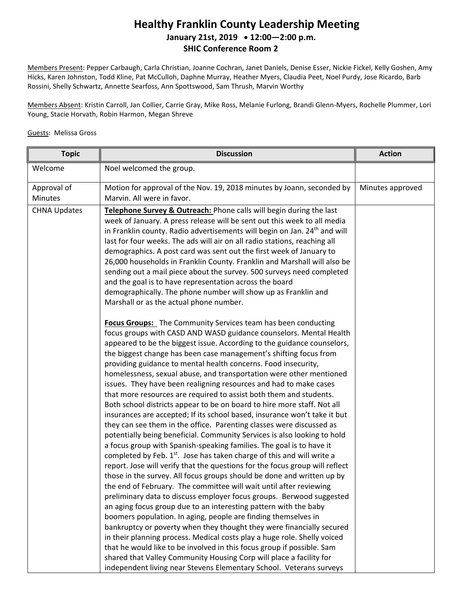#### **Healthy Franklin County Leadership Meeting January 21st, 2019 12:00—2:00 p.m. SHIC Conference Room 2**

Members Present: Pepper Carbaugh, Carla Christian, Joanne Cochran, Janet Daniels, Denise Esser, Nickie Fickel, Kelly Goshen, Amy Hicks, Karen Johnston, Todd Kline, Pat McCulloh, Daphne Murray, Heather Myers, Claudia Peet, Noel Purdy, Jose Ricardo, Barb Rossini, Shelly Schwartz, Annette Searfoss, Ann Spottswood, Sam Thrush, Marvin Worthy

Members Absent: Kristin Carroll, Jan Collier, Carrie Gray, Mike Ross, Melanie Furlong, Brandi Glenn-Myers, Rochelle Plummer, Lori Young, Stacie Horvath, Robin Harmon, Megan Shreve

#### Guests: Melissa Gross

| <b>Topic</b>        | <b>Discussion</b>                                                                                                                                                                                                                                                                                                                                                                                                                                                                                                                                                                                                                                                                                                                                                                                                                                                                                                                                                                                                                                                                                                                                                                                                                                                                                                                                                                                                                                                                                                                                                                                                                                                                                                                     | <b>Action</b>    |
|---------------------|---------------------------------------------------------------------------------------------------------------------------------------------------------------------------------------------------------------------------------------------------------------------------------------------------------------------------------------------------------------------------------------------------------------------------------------------------------------------------------------------------------------------------------------------------------------------------------------------------------------------------------------------------------------------------------------------------------------------------------------------------------------------------------------------------------------------------------------------------------------------------------------------------------------------------------------------------------------------------------------------------------------------------------------------------------------------------------------------------------------------------------------------------------------------------------------------------------------------------------------------------------------------------------------------------------------------------------------------------------------------------------------------------------------------------------------------------------------------------------------------------------------------------------------------------------------------------------------------------------------------------------------------------------------------------------------------------------------------------------------|------------------|
| Welcome             | Noel welcomed the group.                                                                                                                                                                                                                                                                                                                                                                                                                                                                                                                                                                                                                                                                                                                                                                                                                                                                                                                                                                                                                                                                                                                                                                                                                                                                                                                                                                                                                                                                                                                                                                                                                                                                                                              |                  |
| Approval of         | Motion for approval of the Nov. 19, 2018 minutes by Joann, seconded by                                                                                                                                                                                                                                                                                                                                                                                                                                                                                                                                                                                                                                                                                                                                                                                                                                                                                                                                                                                                                                                                                                                                                                                                                                                                                                                                                                                                                                                                                                                                                                                                                                                                | Minutes approved |
| Minutes             | Marvin. All were in favor.                                                                                                                                                                                                                                                                                                                                                                                                                                                                                                                                                                                                                                                                                                                                                                                                                                                                                                                                                                                                                                                                                                                                                                                                                                                                                                                                                                                                                                                                                                                                                                                                                                                                                                            |                  |
| <b>CHNA Updates</b> | Telephone Survey & Outreach: Phone calls will begin during the last<br>week of January. A press release will be sent out this week to all media<br>in Franklin county. Radio advertisements will begin on Jan. 24 <sup>th</sup> and will<br>last for four weeks. The ads will air on all radio stations, reaching all<br>demographics. A post card was sent out the first week of January to<br>26,000 households in Franklin County. Franklin and Marshall will also be<br>sending out a mail piece about the survey. 500 surveys need completed<br>and the goal is to have representation across the board<br>demographically. The phone number will show up as Franklin and<br>Marshall or as the actual phone number.                                                                                                                                                                                                                                                                                                                                                                                                                                                                                                                                                                                                                                                                                                                                                                                                                                                                                                                                                                                                             |                  |
|                     | <b>Focus Groups:</b> The Community Services team has been conducting<br>focus groups with CASD AND WASD guidance counselors. Mental Health<br>appeared to be the biggest issue. According to the guidance counselors,<br>the biggest change has been case management's shifting focus from<br>providing guidance to mental health concerns. Food insecurity,<br>homelessness, sexual abuse, and transportation were other mentioned<br>issues. They have been realigning resources and had to make cases<br>that more resources are required to assist both them and students.<br>Both school districts appear to be on board to hire more staff. Not all<br>insurances are accepted; If its school based, insurance won't take it but<br>they can see them in the office. Parenting classes were discussed as<br>potentially being beneficial. Community Services is also looking to hold<br>a focus group with Spanish-speaking families. The goal is to have it<br>completed by Feb. 1 <sup>st</sup> . Jose has taken charge of this and will write a<br>report. Jose will verify that the questions for the focus group will reflect<br>those in the survey. All focus groups should be done and written up by<br>the end of February. The committee will wait until after reviewing<br>preliminary data to discuss employer focus groups. Berwood suggested<br>an aging focus group due to an interesting pattern with the baby<br>boomers population. In aging, people are finding themselves in<br>bankruptcy or poverty when they thought they were financially secured<br>in their planning process. Medical costs play a huge role. Shelly voiced<br>that he would like to be involved in this focus group if possible. Sam |                  |
|                     | shared that Valley Community Housing Corp will place a facility for<br>independent living near Stevens Elementary School. Veterans surveys                                                                                                                                                                                                                                                                                                                                                                                                                                                                                                                                                                                                                                                                                                                                                                                                                                                                                                                                                                                                                                                                                                                                                                                                                                                                                                                                                                                                                                                                                                                                                                                            |                  |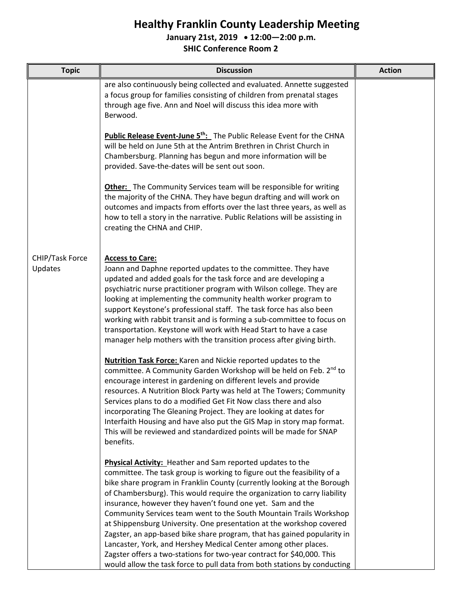# **Healthy Franklin County Leadership Meeting**

**January 21st, 2019 12:00—2:00 p.m.**

**SHIC Conference Room 2**

| <b>Topic</b>               | <b>Discussion</b>                                                                                                                                                                                                                                                                                                                                                                                                                                                                                                                                                                                                                                                                                                                                                                                            | <b>Action</b> |
|----------------------------|--------------------------------------------------------------------------------------------------------------------------------------------------------------------------------------------------------------------------------------------------------------------------------------------------------------------------------------------------------------------------------------------------------------------------------------------------------------------------------------------------------------------------------------------------------------------------------------------------------------------------------------------------------------------------------------------------------------------------------------------------------------------------------------------------------------|---------------|
|                            | are also continuously being collected and evaluated. Annette suggested<br>a focus group for families consisting of children from prenatal stages<br>through age five. Ann and Noel will discuss this idea more with<br>Berwood.                                                                                                                                                                                                                                                                                                                                                                                                                                                                                                                                                                              |               |
|                            | <b>Public Release Event-June 5<sup>th</sup>:</b> The Public Release Event for the CHNA<br>will be held on June 5th at the Antrim Brethren in Christ Church in<br>Chambersburg. Planning has begun and more information will be<br>provided. Save-the-dates will be sent out soon.                                                                                                                                                                                                                                                                                                                                                                                                                                                                                                                            |               |
|                            | Other: The Community Services team will be responsible for writing<br>the majority of the CHNA. They have begun drafting and will work on<br>outcomes and impacts from efforts over the last three years, as well as<br>how to tell a story in the narrative. Public Relations will be assisting in<br>creating the CHNA and CHIP.                                                                                                                                                                                                                                                                                                                                                                                                                                                                           |               |
| CHIP/Task Force<br>Updates | <b>Access to Care:</b><br>Joann and Daphne reported updates to the committee. They have<br>updated and added goals for the task force and are developing a<br>psychiatric nurse practitioner program with Wilson college. They are<br>looking at implementing the community health worker program to<br>support Keystone's professional staff. The task force has also been<br>working with rabbit transit and is forming a sub-committee to focus on<br>transportation. Keystone will work with Head Start to have a case<br>manager help mothers with the transition process after giving birth.                                                                                                                                                                                                           |               |
|                            | <b>Nutrition Task Force:</b> Karen and Nickie reported updates to the<br>committee. A Community Garden Workshop will be held on Feb. 2 <sup>nd</sup> to<br>encourage interest in gardening on different levels and provide<br>resources. A Nutrition Block Party was held at The Towers; Community<br>Services plans to do a modified Get Fit Now class there and also<br>incorporating The Gleaning Project. They are looking at dates for<br>Interfaith Housing and have also put the GIS Map in story map format.<br>This will be reviewed and standardized points will be made for SNAP<br>benefits.                                                                                                                                                                                                     |               |
|                            | Physical Activity: Heather and Sam reported updates to the<br>committee. The task group is working to figure out the feasibility of a<br>bike share program in Franklin County (currently looking at the Borough<br>of Chambersburg). This would require the organization to carry liability<br>insurance, however they haven't found one yet. Sam and the<br>Community Services team went to the South Mountain Trails Workshop<br>at Shippensburg University. One presentation at the workshop covered<br>Zagster, an app-based bike share program, that has gained popularity in<br>Lancaster, York, and Hershey Medical Center among other places.<br>Zagster offers a two-stations for two-year contract for \$40,000. This<br>would allow the task force to pull data from both stations by conducting |               |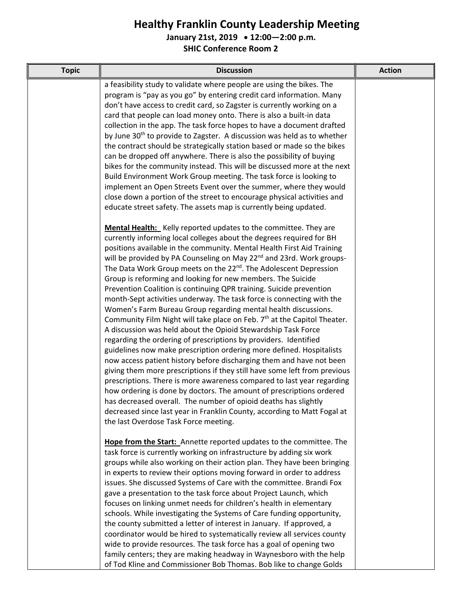## **Healthy Franklin County Leadership Meeting**

**January 21st, 2019 12:00—2:00 p.m.**

**SHIC Conference Room 2**

| <b>Topic</b> | <b>Discussion</b>                                                                    | <b>Action</b> |
|--------------|--------------------------------------------------------------------------------------|---------------|
|              | a feasibility study to validate where people are using the bikes. The                |               |
|              | program is "pay as you go" by entering credit card information. Many                 |               |
|              | don't have access to credit card, so Zagster is currently working on a               |               |
|              | card that people can load money onto. There is also a built-in data                  |               |
|              | collection in the app. The task force hopes to have a document drafted               |               |
|              | by June 30 <sup>th</sup> to provide to Zagster. A discussion was held as to whether  |               |
|              | the contract should be strategically station based or made so the bikes              |               |
|              | can be dropped off anywhere. There is also the possibility of buying                 |               |
|              | bikes for the community instead. This will be discussed more at the next             |               |
|              | Build Environment Work Group meeting. The task force is looking to                   |               |
|              | implement an Open Streets Event over the summer, where they would                    |               |
|              | close down a portion of the street to encourage physical activities and              |               |
|              | educate street safety. The assets map is currently being updated.                    |               |
|              | Mental Health: Kelly reported updates to the committee. They are                     |               |
|              | currently informing local colleges about the degrees required for BH                 |               |
|              | positions available in the community. Mental Health First Aid Training               |               |
|              | will be provided by PA Counseling on May 22 <sup>nd</sup> and 23rd. Work groups-     |               |
|              | The Data Work Group meets on the 22 <sup>nd</sup> . The Adolescent Depression        |               |
|              | Group is reforming and looking for new members. The Suicide                          |               |
|              | Prevention Coalition is continuing QPR training. Suicide prevention                  |               |
|              | month-Sept activities underway. The task force is connecting with the                |               |
|              | Women's Farm Bureau Group regarding mental health discussions.                       |               |
|              | Community Film Night will take place on Feb. 7 <sup>th</sup> at the Capitol Theater. |               |
|              | A discussion was held about the Opioid Stewardship Task Force                        |               |
|              | regarding the ordering of prescriptions by providers. Identified                     |               |
|              | guidelines now make prescription ordering more defined. Hospitalists                 |               |
|              | now access patient history before discharging them and have not been                 |               |
|              | giving them more prescriptions if they still have some left from previous            |               |
|              | prescriptions. There is more awareness compared to last year regarding               |               |
|              | how ordering is done by doctors. The amount of prescriptions ordered                 |               |
|              | has decreased overall. The number of opioid deaths has slightly                      |               |
|              | decreased since last year in Franklin County, according to Matt Fogal at             |               |
|              | the last Overdose Task Force meeting.                                                |               |
|              | Hope from the Start: Annette reported updates to the committee. The                  |               |
|              | task force is currently working on infrastructure by adding six work                 |               |
|              | groups while also working on their action plan. They have been bringing              |               |
|              | in experts to review their options moving forward in order to address                |               |
|              | issues. She discussed Systems of Care with the committee. Brandi Fox                 |               |
|              | gave a presentation to the task force about Project Launch, which                    |               |
|              | focuses on linking unmet needs for children's health in elementary                   |               |
|              | schools. While investigating the Systems of Care funding opportunity,                |               |
|              | the county submitted a letter of interest in January. If approved, a                 |               |
|              | coordinator would be hired to systematically review all services county              |               |
|              | wide to provide resources. The task force has a goal of opening two                  |               |
|              | family centers; they are making headway in Waynesboro with the help                  |               |
|              | of Tod Kline and Commissioner Bob Thomas. Bob like to change Golds                   |               |